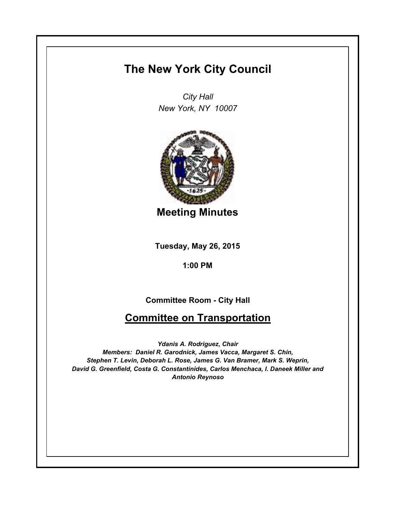# **The New York City Council**

*City Hall New York, NY 10007*



**Meeting Minutes**

**Tuesday, May 26, 2015**

**1:00 PM**

**Committee Room - City Hall**

# **Committee on Transportation**

*Ydanis A. Rodriguez, Chair Members: Daniel R. Garodnick, James Vacca, Margaret S. Chin, Stephen T. Levin, Deborah L. Rose, James G. Van Bramer, Mark S. Weprin, David G. Greenfield, Costa G. Constantinides, Carlos Menchaca, I. Daneek Miller and Antonio Reynoso*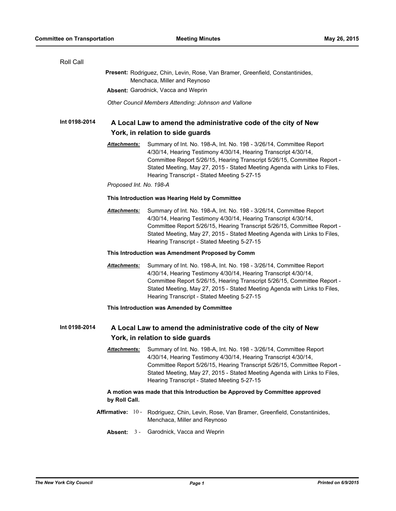| Roll Call                                                                                                            |                                                                                                                                                       |                                                                                                                                                                                                                                                                                                                                                |
|----------------------------------------------------------------------------------------------------------------------|-------------------------------------------------------------------------------------------------------------------------------------------------------|------------------------------------------------------------------------------------------------------------------------------------------------------------------------------------------------------------------------------------------------------------------------------------------------------------------------------------------------|
|                                                                                                                      | Present: Rodriguez, Chin, Levin, Rose, Van Bramer, Greenfield, Constantinides,<br>Menchaca, Miller and Reynoso<br>Absent: Garodnick, Vacca and Weprin |                                                                                                                                                                                                                                                                                                                                                |
|                                                                                                                      |                                                                                                                                                       |                                                                                                                                                                                                                                                                                                                                                |
|                                                                                                                      | Other Council Members Attending: Johnson and Vallone                                                                                                  |                                                                                                                                                                                                                                                                                                                                                |
| Int 0198-2014                                                                                                        | A Local Law to amend the administrative code of the city of New<br>York, in relation to side guards                                                   |                                                                                                                                                                                                                                                                                                                                                |
|                                                                                                                      | Attachments:                                                                                                                                          | Summary of Int. No. 198-A, Int. No. 198 - 3/26/14, Committee Report<br>4/30/14, Hearing Testimony 4/30/14, Hearing Transcript 4/30/14,<br>Committee Report 5/26/15, Hearing Transcript 5/26/15, Committee Report -<br>Stated Meeting, May 27, 2015 - Stated Meeting Agenda with Links to Files,<br>Hearing Transcript - Stated Meeting 5-27-15 |
|                                                                                                                      | Proposed Int. No. 198-A                                                                                                                               |                                                                                                                                                                                                                                                                                                                                                |
|                                                                                                                      | This Introduction was Hearing Held by Committee                                                                                                       |                                                                                                                                                                                                                                                                                                                                                |
|                                                                                                                      | Attachments:                                                                                                                                          | Summary of Int. No. 198-A, Int. No. 198 - 3/26/14, Committee Report<br>4/30/14, Hearing Testimony 4/30/14, Hearing Transcript 4/30/14,<br>Committee Report 5/26/15, Hearing Transcript 5/26/15, Committee Report -<br>Stated Meeting, May 27, 2015 - Stated Meeting Agenda with Links to Files,<br>Hearing Transcript - Stated Meeting 5-27-15 |
|                                                                                                                      | This Introduction was Amendment Proposed by Comm                                                                                                      |                                                                                                                                                                                                                                                                                                                                                |
|                                                                                                                      | <b>Attachments:</b>                                                                                                                                   | Summary of Int. No. 198-A, Int. No. 198 - 3/26/14, Committee Report<br>4/30/14, Hearing Testimony 4/30/14, Hearing Transcript 4/30/14,<br>Committee Report 5/26/15, Hearing Transcript 5/26/15, Committee Report -<br>Stated Meeting, May 27, 2015 - Stated Meeting Agenda with Links to Files,<br>Hearing Transcript - Stated Meeting 5-27-15 |
|                                                                                                                      |                                                                                                                                                       | This Introduction was Amended by Committee                                                                                                                                                                                                                                                                                                     |
| Int 0198-2014<br>A Local Law to amend the administrative code of the city of New<br>York, in relation to side guards |                                                                                                                                                       |                                                                                                                                                                                                                                                                                                                                                |
|                                                                                                                      |                                                                                                                                                       |                                                                                                                                                                                                                                                                                                                                                |
| A motion was made that this Introduction be Approved by Committee approved<br>by Roll Call.                          |                                                                                                                                                       |                                                                                                                                                                                                                                                                                                                                                |
|                                                                                                                      |                                                                                                                                                       | Affirmative: 10 - Rodriguez, Chin, Levin, Rose, Van Bramer, Greenfield, Constantinides,<br>Menchaca, Miller and Reynoso                                                                                                                                                                                                                        |
|                                                                                                                      | Absent: $3 -$                                                                                                                                         | Garodnick, Vacca and Weprin                                                                                                                                                                                                                                                                                                                    |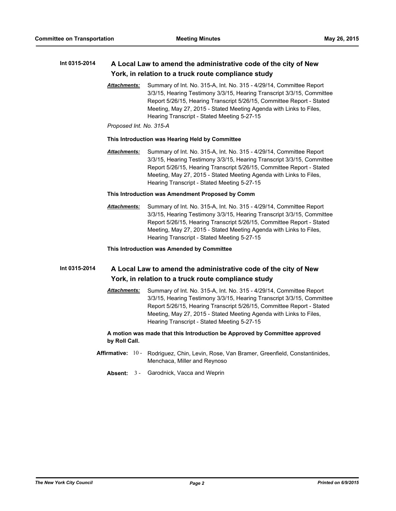# **Int 0315-2014 A Local Law to amend the administrative code of the city of New York, in relation to a truck route compliance study**

*Attachments:* Summary of Int. No. 315-A, Int. No. 315 - 4/29/14, Committee Report 3/3/15, Hearing Testimony 3/3/15, Hearing Transcript 3/3/15, Committee Report 5/26/15, Hearing Transcript 5/26/15, Committee Report - Stated Meeting, May 27, 2015 - Stated Meeting Agenda with Links to Files, Hearing Transcript - Stated Meeting 5-27-15

### *Proposed Int. No. 315-A*

# **This Introduction was Hearing Held by Committee**

*Attachments:* Summary of Int. No. 315-A, Int. No. 315 - 4/29/14, Committee Report 3/3/15, Hearing Testimony 3/3/15, Hearing Transcript 3/3/15, Committee Report 5/26/15, Hearing Transcript 5/26/15, Committee Report - Stated Meeting, May 27, 2015 - Stated Meeting Agenda with Links to Files, Hearing Transcript - Stated Meeting 5-27-15

# **This Introduction was Amendment Proposed by Comm**

*Attachments:* Summary of Int. No. 315-A, Int. No. 315 - 4/29/14, Committee Report 3/3/15, Hearing Testimony 3/3/15, Hearing Transcript 3/3/15, Committee Report 5/26/15, Hearing Transcript 5/26/15, Committee Report - Stated Meeting, May 27, 2015 - Stated Meeting Agenda with Links to Files, Hearing Transcript - Stated Meeting 5-27-15

# **This Introduction was Amended by Committee**

# **Int 0315-2014 A Local Law to amend the administrative code of the city of New York, in relation to a truck route compliance study**

*Attachments:* Summary of Int. No. 315-A, Int. No. 315 - 4/29/14, Committee Report 3/3/15, Hearing Testimony 3/3/15, Hearing Transcript 3/3/15, Committee Report 5/26/15, Hearing Transcript 5/26/15, Committee Report - Stated Meeting, May 27, 2015 - Stated Meeting Agenda with Links to Files, Hearing Transcript - Stated Meeting 5-27-15

# **A motion was made that this Introduction be Approved by Committee approved by Roll Call.**

- **Affirmative:** Rodriguez, Chin, Levin, Rose, Van Bramer, Greenfield, Constantinides, Menchaca, Miller and Reynoso Affirmative: 10 -
	- **Absent:** 3 Garodnick, Vacca and Weprin